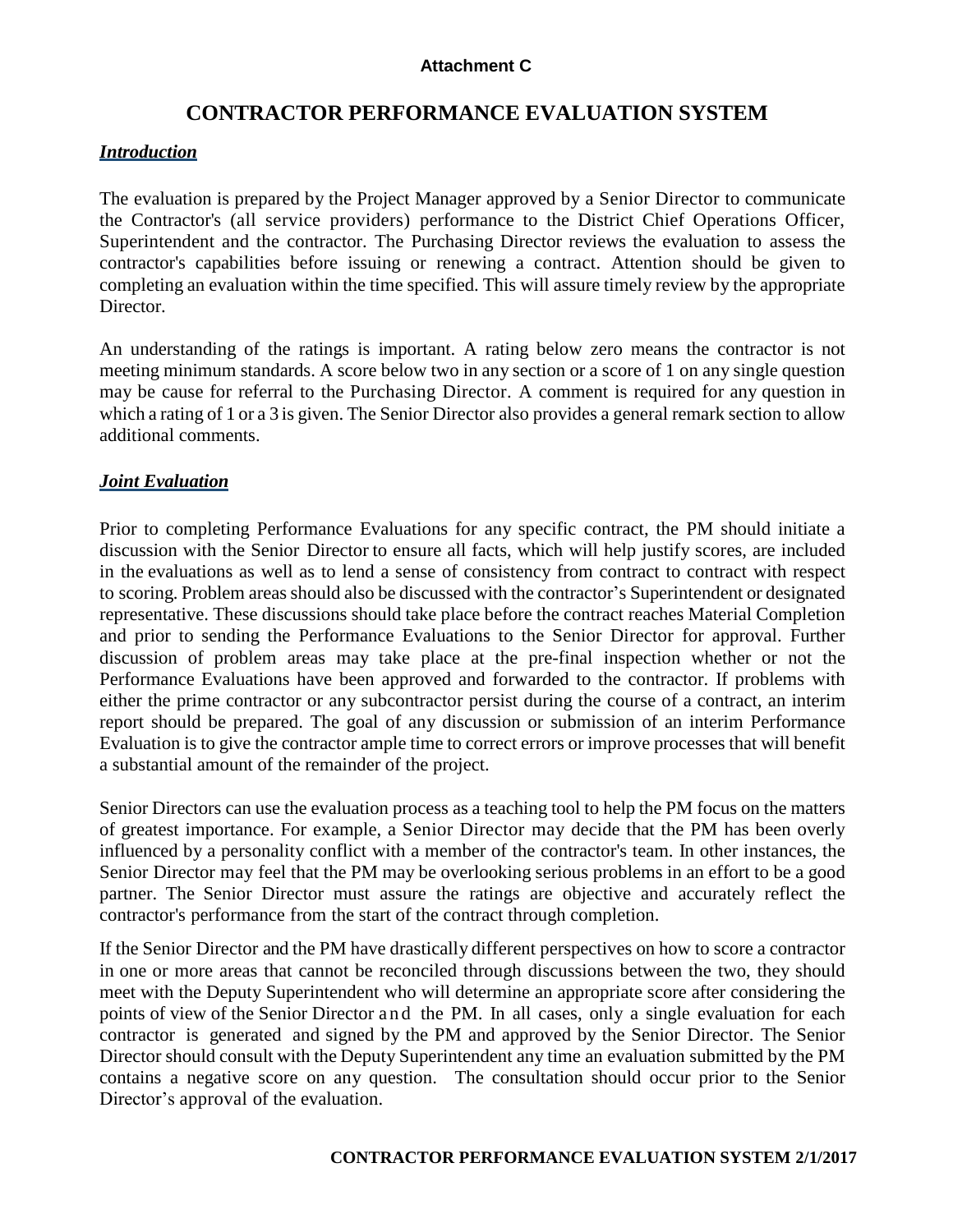# **CONTRACTOR PERFORMANCE EVALUATION SYSTEM**

### *Introduction*

The evaluation is prepared by the Project Manager approved by a Senior Director to communicate the Contractor's (all service providers) performance to the District Chief Operations Officer, Superintendent and the contractor. The Purchasing Director reviews the evaluation to assess the contractor's capabilities before issuing or renewing a contract. Attention should be given to completing an evaluation within the time specified. This will assure timely review by the appropriate Director.

An understanding of the ratings is important. A rating below zero means the contractor is not meeting minimum standards. A score below two in any section or a score of 1 on any single question may be cause for referral to the Purchasing Director. A comment is required for any question in which a rating of 1 or a 3 is given. The Senior Director also provides a general remark section to allow additional comments.

## *Joint Evaluation*

Prior to completing Performance Evaluations for any specific contract, the PM should initiate a discussion with the Senior Director to ensure all facts, which will help justify scores, are included in the evaluations as well as to lend a sense of consistency from contract to contract with respect to scoring. Problem areas should also be discussed with the contractor's Superintendent or designated representative. These discussions should take place before the contract reaches Material Completion and prior to sending the Performance Evaluations to the Senior Director for approval. Further discussion of problem areas may take place at the pre-final inspection whether or not the Performance Evaluations have been approved and forwarded to the contractor. If problems with either the prime contractor or any subcontractor persist during the course of a contract, an interim report should be prepared. The goal of any discussion or submission of an interim Performance Evaluation is to give the contractor ample time to correct errors or improve processes that will benefit a substantial amount of the remainder of the project.

Senior Directors can use the evaluation process as a teaching tool to help the PM focus on the matters of greatest importance. For example, a Senior Director may decide that the PM has been overly influenced by a personality conflict with a member of the contractor's team. In other instances, the Senior Director may feel that the PM may be overlooking serious problems in an effort to be a good partner. The Senior Director must assure the ratings are objective and accurately reflect the contractor's performance from the start of the contract through completion.

If the Senior Director and the PM have drastically different perspectives on how to score a contractor in one or more areas that cannot be reconciled through discussions between the two, they should meet with the Deputy Superintendent who will determine an appropriate score after considering the points of view of the Senior Director and the PM. In all cases, only a single evaluation for each contractor is generated and signed by the PM and approved by the Senior Director. The Senior Director should consult with the Deputy Superintendent any time an evaluation submitted by the PM contains a negative score on any question. The consultation should occur prior to the Senior Director's approval of the evaluation.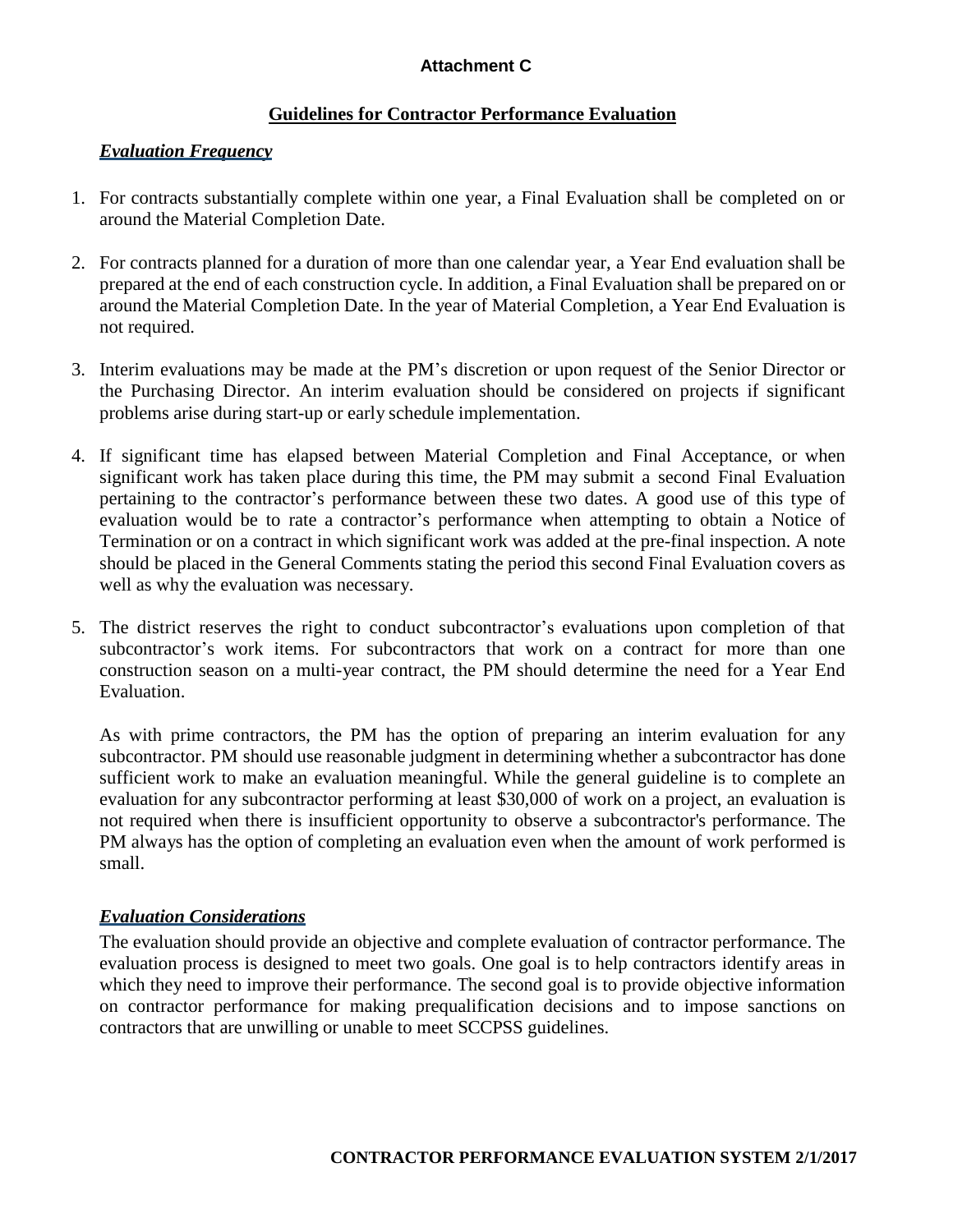## **Guidelines for Contractor Performance Evaluation**

# *Evaluation Frequency*

- 1. For contracts substantially complete within one year, a Final Evaluation shall be completed on or around the Material Completion Date.
- 2. For contracts planned for a duration of more than one calendar year, a Year End evaluation shall be prepared at the end of each construction cycle. In addition, a Final Evaluation shall be prepared on or around the Material Completion Date. In the year of Material Completion, a Year End Evaluation is not required.
- 3. Interim evaluations may be made at the PM's discretion or upon request of the Senior Director or the Purchasing Director. An interim evaluation should be considered on projects if significant problems arise during start-up or early schedule implementation.
- 4. If significant time has elapsed between Material Completion and Final Acceptance, or when significant work has taken place during this time, the PM may submit a second Final Evaluation pertaining to the contractor's performance between these two dates. A good use of this type of evaluation would be to rate a contractor's performance when attempting to obtain a Notice of Termination or on a contract in which significant work was added at the pre-final inspection. A note should be placed in the General Comments stating the period this second Final Evaluation covers as well as why the evaluation was necessary.
- 5. The district reserves the right to conduct subcontractor's evaluations upon completion of that subcontractor's work items. For subcontractors that work on a contract for more than one construction season on a multi-year contract, the PM should determine the need for a Year End Evaluation.

As with prime contractors, the PM has the option of preparing an interim evaluation for any subcontractor. PM should use reasonable judgment in determining whether a subcontractor has done sufficient work to make an evaluation meaningful. While the general guideline is to complete an evaluation for any subcontractor performing at least \$30,000 of work on a project, an evaluation is not required when there is insufficient opportunity to observe a subcontractor's performance. The PM always has the option of completing an evaluation even when the amount of work performed is small.

# *Evaluation Considerations*

The evaluation should provide an objective and complete evaluation of contractor performance. The evaluation process is designed to meet two goals. One goal is to help contractors identify areas in which they need to improve their performance. The second goal is to provide objective information on contractor performance for making prequalification decisions and to impose sanctions on contractors that are unwilling or unable to meet SCCPSS guidelines.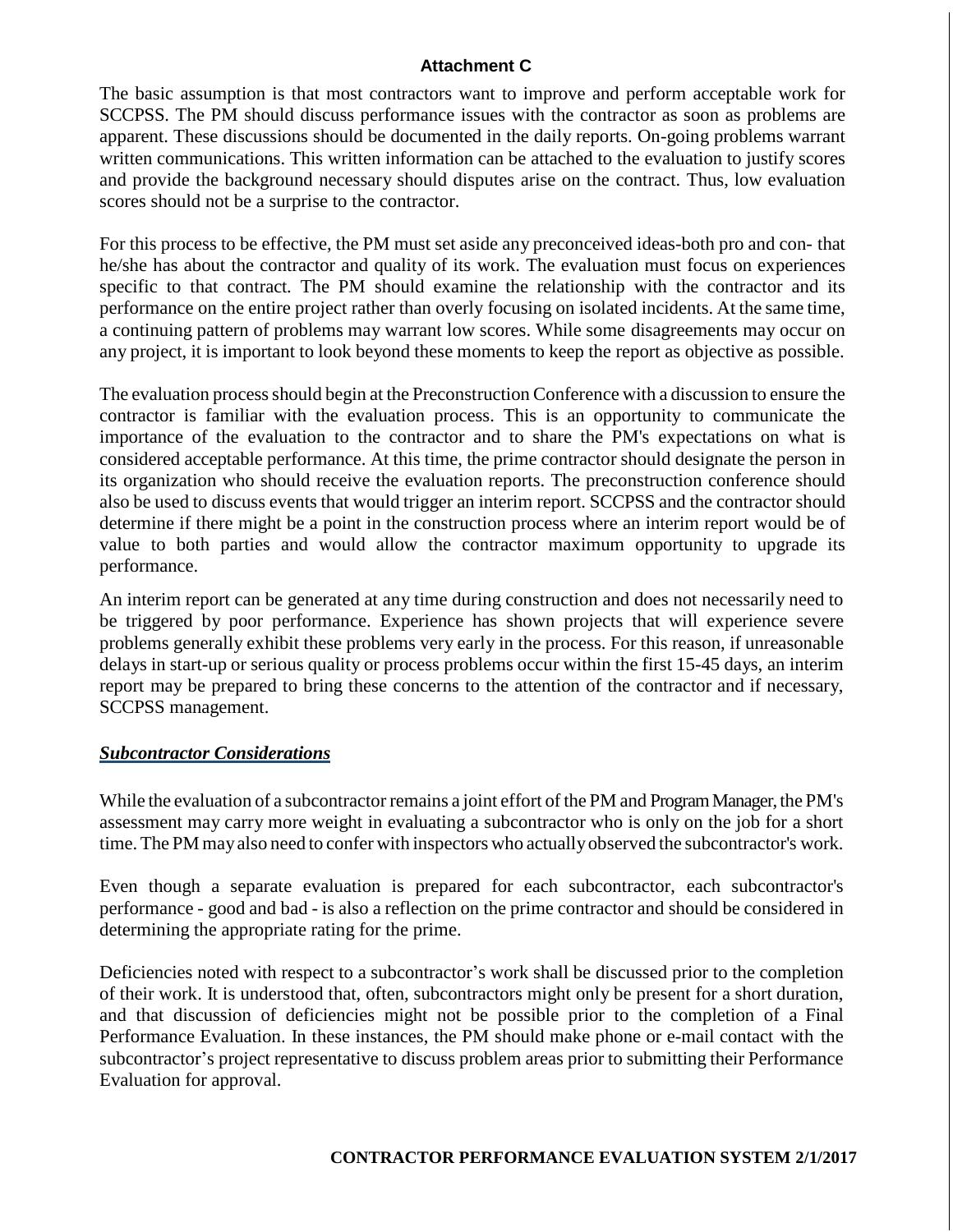The basic assumption is that most contractors want to improve and perform acceptable work for SCCPSS. The PM should discuss performance issues with the contractor as soon as problems are apparent. These discussions should be documented in the daily reports. On-going problems warrant written communications. This written information can be attached to the evaluation to justify scores and provide the background necessary should disputes arise on the contract. Thus, low evaluation scores should not be a surprise to the contractor.

For this process to be effective, the PM must set aside any preconceived ideas-both pro and con- that he/she has about the contractor and quality of its work. The evaluation must focus on experiences specific to that contract. The PM should examine the relationship with the contractor and its performance on the entire project rather than overly focusing on isolated incidents. At the same time, a continuing pattern of problems may warrant low scores. While some disagreements may occur on any project, it is important to look beyond these moments to keep the report as objective as possible.

The evaluation processshould begin at the Preconstruction Conference with a discussion to ensure the contractor is familiar with the evaluation process. This is an opportunity to communicate the importance of the evaluation to the contractor and to share the PM's expectations on what is considered acceptable performance. At this time, the prime contractor should designate the person in its organization who should receive the evaluation reports. The preconstruction conference should also be used to discuss events that would trigger an interim report. SCCPSS and the contractor should determine if there might be a point in the construction process where an interim report would be of value to both parties and would allow the contractor maximum opportunity to upgrade its performance.

An interim report can be generated at any time during construction and does not necessarily need to be triggered by poor performance. Experience has shown projects that will experience severe problems generally exhibit these problems very early in the process. For this reason, if unreasonable delays in start-up or serious quality or process problems occur within the first 15-45 days, an interim report may be prepared to bring these concerns to the attention of the contractor and if necessary, SCCPSS management.

#### *Subcontractor Considerations*

While the evaluation of a subcontractor remains a joint effort of the PM and Program Manager, the PM's assessment may carry more weight in evaluating a subcontractor who is only on the job for a short time. The PM mayalso need to confer with inspectors who actuallyobserved the subcontractor's work.

Even though a separate evaluation is prepared for each subcontractor, each subcontractor's performance - good and bad - is also a reflection on the prime contractor and should be considered in determining the appropriate rating for the prime.

Deficiencies noted with respect to a subcontractor's work shall be discussed prior to the completion of their work. It is understood that, often, subcontractors might only be present for a short duration, and that discussion of deficiencies might not be possible prior to the completion of a Final Performance Evaluation. In these instances, the PM should make phone or e-mail contact with the subcontractor's project representative to discuss problem areas prior to submitting their Performance Evaluation for approval.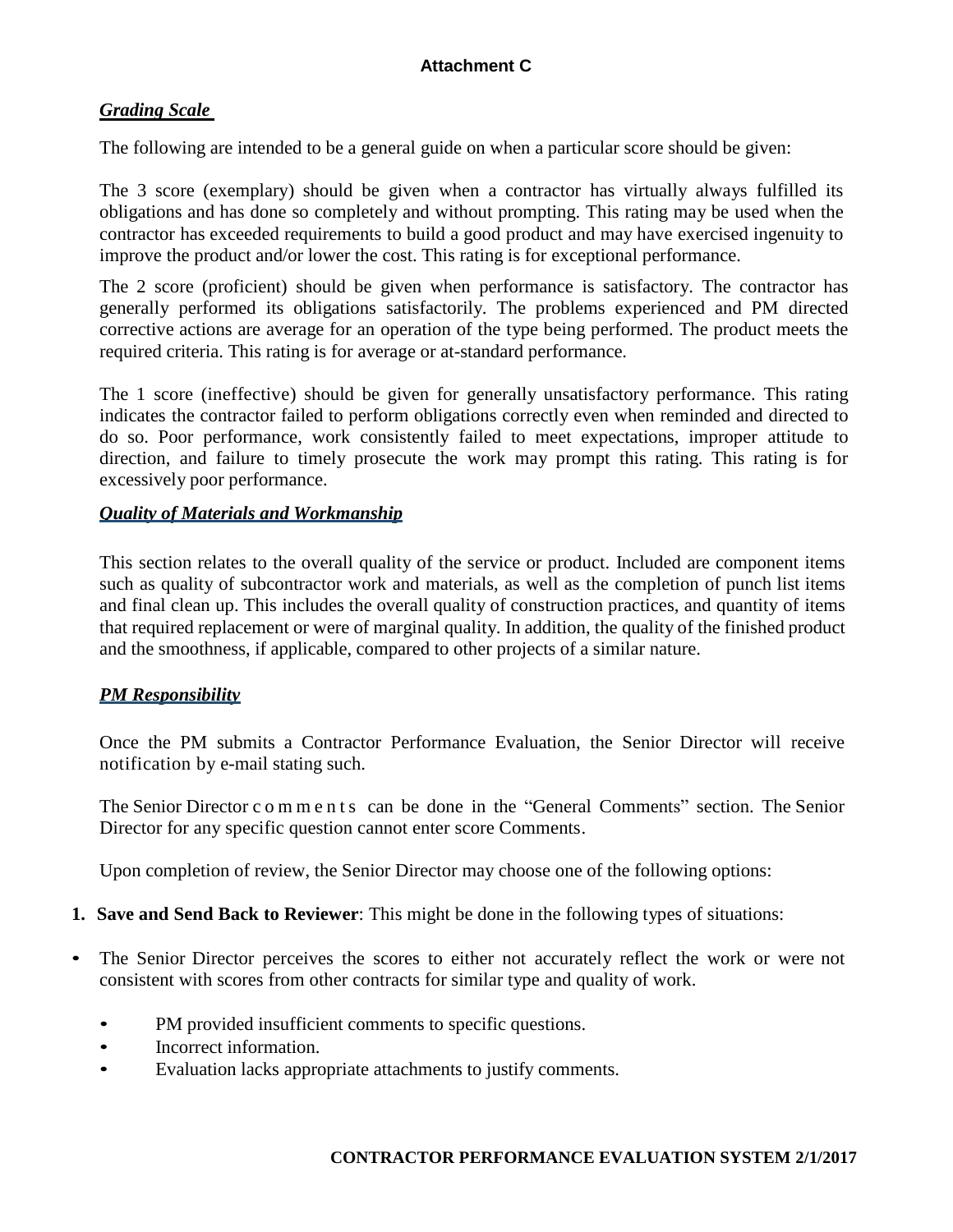# *Grading Scale*

The following are intended to be a general guide on when a particular score should be given:

The 3 score (exemplary) should be given when a contractor has virtually always fulfilled its obligations and has done so completely and without prompting. This rating may be used when the contractor has exceeded requirements to build a good product and may have exercised ingenuity to improve the product and/or lower the cost. This rating is for exceptional performance.

The 2 score (proficient) should be given when performance is satisfactory. The contractor has generally performed its obligations satisfactorily. The problems experienced and PM directed corrective actions are average for an operation of the type being performed. The product meets the required criteria. This rating is for average or at-standard performance.

The 1 score (ineffective) should be given for generally unsatisfactory performance. This rating indicates the contractor failed to perform obligations correctly even when reminded and directed to do so. Poor performance, work consistently failed to meet expectations, improper attitude to direction, and failure to timely prosecute the work may prompt this rating. This rating is for excessively poor performance.

## *Quality of Materials and Workmanship*

This section relates to the overall quality of the service or product. Included are component items such as quality of subcontractor work and materials, as well as the completion of punch list items and final clean up. This includes the overall quality of construction practices, and quantity of items that required replacement or were of marginal quality. In addition, the quality of the finished product and the smoothness, if applicable, compared to other projects of a similar nature.

# *PM Responsibility*

Once the PM submits a Contractor Performance Evaluation, the Senior Director will receive notification by e-mail stating such.

The Senior Director c o m m e n t s can be done in the "General Comments" section. The Senior Director for any specific question cannot enter score Comments.

Upon completion of review, the Senior Director may choose one of the following options:

#### **1. Save and Send Back to Reviewer**: This might be done in the following types of situations:

- The Senior Director perceives the scores to either not accurately reflect the work or were not consistent with scores from other contracts for similar type and quality of work.
	- PM provided insufficient comments to specific questions.
	- Incorrect information.
	- Evaluation lacks appropriate attachments to justify comments.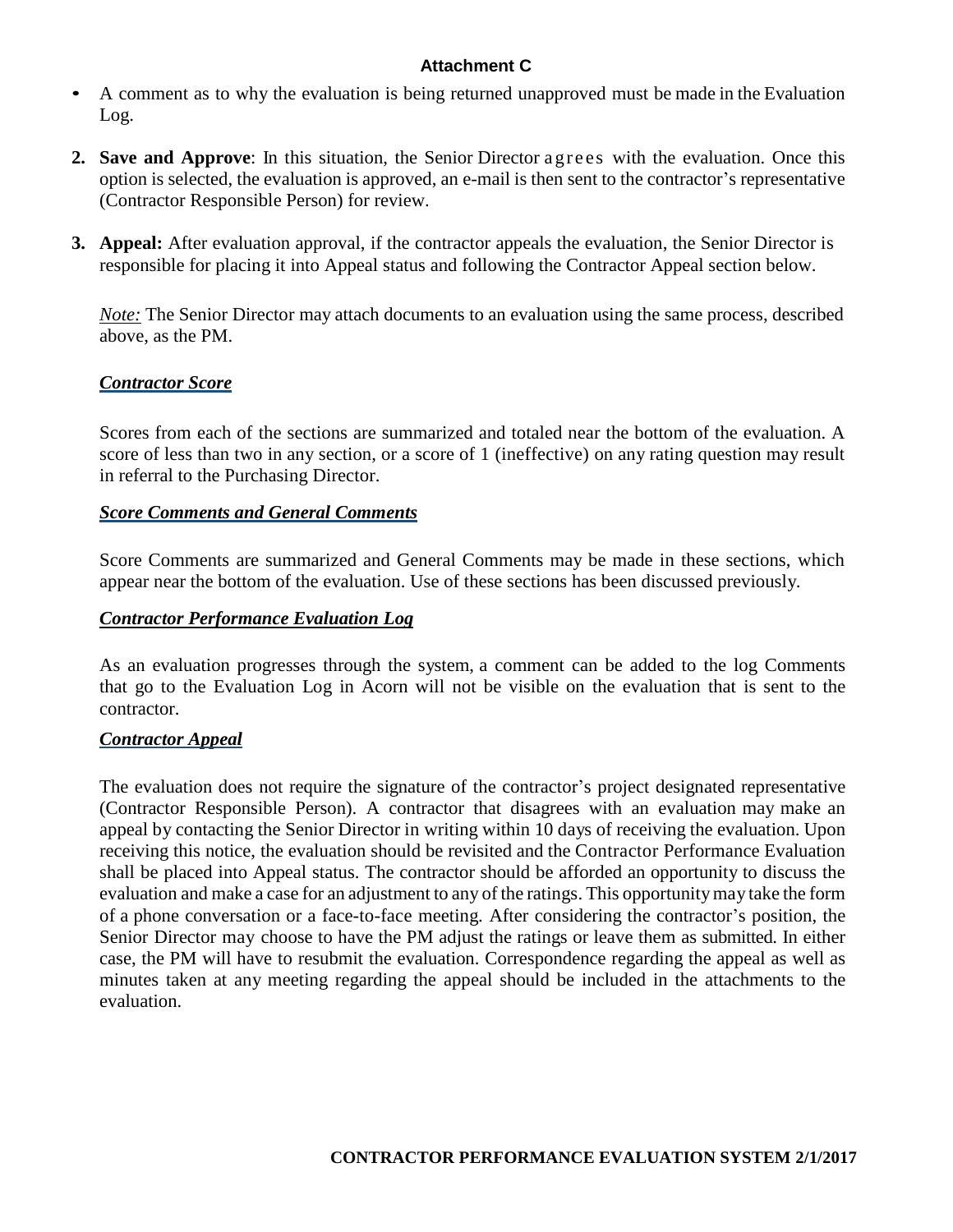- A comment as to why the evaluation is being returned unapproved must be made in the Evaluation Log.
- **2. Save and Approve**: In this situation, the Senior Director a gre es with the evaluation. Once this option is selected, the evaluation is approved, an e-mail is then sent to the contractor's representative (Contractor Responsible Person) for review.
- **3. Appeal:** After evaluation approval, if the contractor appeals the evaluation, the Senior Director is responsible for placing it into Appeal status and following the Contractor Appeal section below.

*Note:* The Senior Director may attach documents to an evaluation using the same process, described above, as the PM.

# *Contractor Score*

Scores from each of the sections are summarized and totaled near the bottom of the evaluation. A score of less than two in any section, or a score of 1 (ineffective) on any rating question may result in referral to the Purchasing Director.

# *Score Comments and General Comments*

Score Comments are summarized and General Comments may be made in these sections, which appear near the bottom of the evaluation. Use of these sections has been discussed previously.

# *Contractor Performance Evaluation Log*

As an evaluation progresses through the system, a comment can be added to the log Comments that go to the Evaluation Log in Acorn will not be visible on the evaluation that is sent to the contractor.

# *Contractor Appeal*

The evaluation does not require the signature of the contractor's project designated representative (Contractor Responsible Person). A contractor that disagrees with an evaluation may make an appeal by contacting the Senior Director in writing within 10 days of receiving the evaluation. Upon receiving this notice, the evaluation should be revisited and the Contractor Performance Evaluation shall be placed into Appeal status. The contractor should be afforded an opportunity to discuss the evaluation and make a case for an adjustment to any of the ratings. This opportunitymay take the form of a phone conversation or a face-to-face meeting. After considering the contractor's position, the Senior Director may choose to have the PM adjust the ratings or leave them as submitted. In either case, the PM will have to resubmit the evaluation. Correspondence regarding the appeal as well as minutes taken at any meeting regarding the appeal should be included in the attachments to the evaluation.